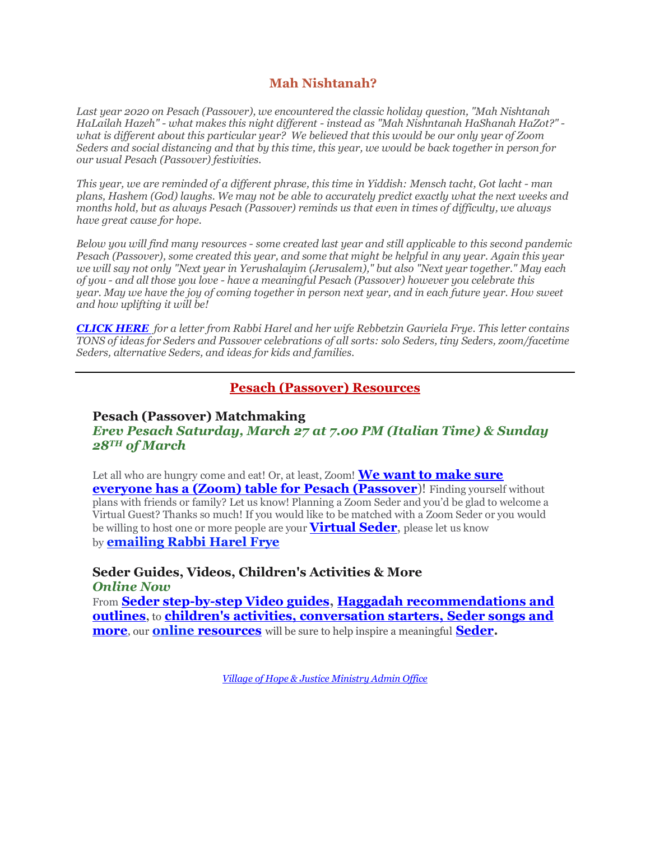# **Mah Nishtanah?**

*Last year 2020 on Pesach (Passover), we encountered the classic holiday question, "Mah Nishtanah HaLailah Hazeh" - what makes this night different - instead as "Mah Nishntanah HaShanah HaZot?" what is different about this particular year? We believed that this would be our only year of Zoom Seders and social distancing and that by this time, this year, we would be back together in person for our usual Pesach (Passover) festivities.*

*This year, we are reminded of a different phrase, this time in Yiddish: Mensch tacht, Got lacht - man plans, Hashem (God) laughs. We may not be able to accurately predict exactly what the next weeks and months hold, but as always Pesach (Passover) reminds us that even in times of difficulty, we always have great cause for hope.*

*Below you will find many resources - some created last year and still applicable to this second pandemic Pesach (Passover), some created this year, and some that might be helpful in any year. Again this year we will say not only "Next year in Yerushalayim (Jerusalem)," but also "Next year together." May each of you - and all those you love - have a meaningful Pesach (Passover) however you celebrate this year. May we have the joy of coming together in person next year, and in each future year. How sweet and how uplifting it will be!*

*[CLICK HERE](https://villageofhopejusticeministry.files.wordpress.com/2021/03/yeshua-jesus-in-the-pesach-passover-a-letter-from-the-rabbi-the-rebbetzin-2-1.pdf) for a letter from Rabbi Harel and her wife Rebbetzin Gavriela Frye. This letter contains TONS of ideas for Seders and Passover celebrations of all sorts: solo Seders, tiny Seders, zoom/facetime Seders, alternative Seders, and ideas for kids and families.*

#### **Pesach (Passover) [Resources](https://villageofhopejusticeministry.files.wordpress.com/2021/03/pesach-passover-at-home.pdf)**

### **Pesach (Passover) Matchmaking** *Erev Pesach Saturday, March 27 at 7.00 PM (Italian Time) & Sunday 28TH of March*

Let all who are hungry come and eat! Or, at least, Zoom! **[We want to make sure](mailto:vohjm2013@gmail.com)  [everyone has a \(Zoom\) table for Pesach \(Passover](mailto:vohjm2013@gmail.com)**)! Finding yourself without plans with friends or family? Let us know! Planning a Zoom Seder and you'd be glad to welcome a Virtual Guest? Thanks so much! If you would like to be matched with a Zoom Seder or you would be willing to host one or more people are your **[Virtual Seder](https://www.youtube.com/watch?v=cE0K_1q1nZk)**, please let us know by **[emailing Rabbi Harel Frye](mailto:vohjm2013@gmail.com)**

**Seder Guides, Videos, Children's Activities & More** *Online Now*

From **[Seder step-by-step Video guides,](https://youtu.be/cE0K_1q1nZk) [Haggadah recommendations and](https://villageofhopejusticeministry.files.wordpress.com/2018/04/messianic-passover-haggadah-in-english.pdf)  [outlines](https://villageofhopejusticeministry.files.wordpress.com/2018/04/messianic-passover-haggadah-in-english.pdf),** to **[children's activities, conversation starters, Seder](https://villageofhopejusticeministry.files.wordpress.com/2021/03/pesach-passover-at-home.pdf) songs and [more](https://villageofhopejusticeministry.files.wordpress.com/2021/03/pesach-passover-at-home.pdf)**, our **online [resources](https://villageofhopejusticeministry.files.wordpress.com/2021/03/pesach-passover-at-home.pdf)** will be sure to help inspire a meaningful **[Seder.](https://www.youtube.com/watch?v=cE0K_1q1nZk)**

*[Village of Hope & Justice Ministry Admin Office](mailto:vohjm2013@gmail.com)*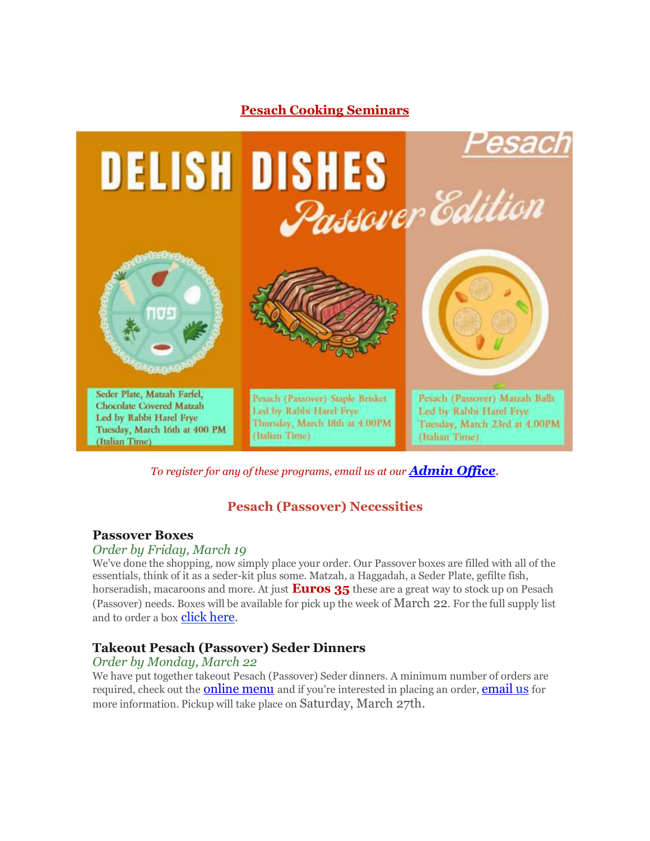

*To register for any of these programs, email us at our [Admin Office](mailto:vohjm2013@gmail.com).*

# **Pesach (Passover) Necessities**

### **Passover Boxes**

#### *Order by Friday, March 19*

We've done the shopping, now simply place your order. Our Passover boxes are filled with all of the essentials, think of it as a seder-kit plus some. Matzah, a Haggadah, a Seder Plate, gefilte fish, horseradish, macaroons and more. At just **Euros 35** these are a great way to stock up on Pesach (Passover) needs. Boxes will be available for pick up the week of March 22. For the full supply list and to order a box **[click here.](mailto:vohjm2013@gmail.com)** 

# **Takeout Pesach (Passover) Seder Dinners**

#### *Order by Monday, March 22*

We have put together takeout Pesach (Passover) Seder dinners. A minimum number of orders are required, check out the **[online menu](https://villageofhopejusticeministry.files.wordpress.com/2021/03/takeout-pesach-passover-seder-dinners-menu.pdf)** and if you're interested in placing an order, **[email](mailto:vohjm2013@gmail.com) us** for more information. Pickup will take place on Saturday, March 27th.